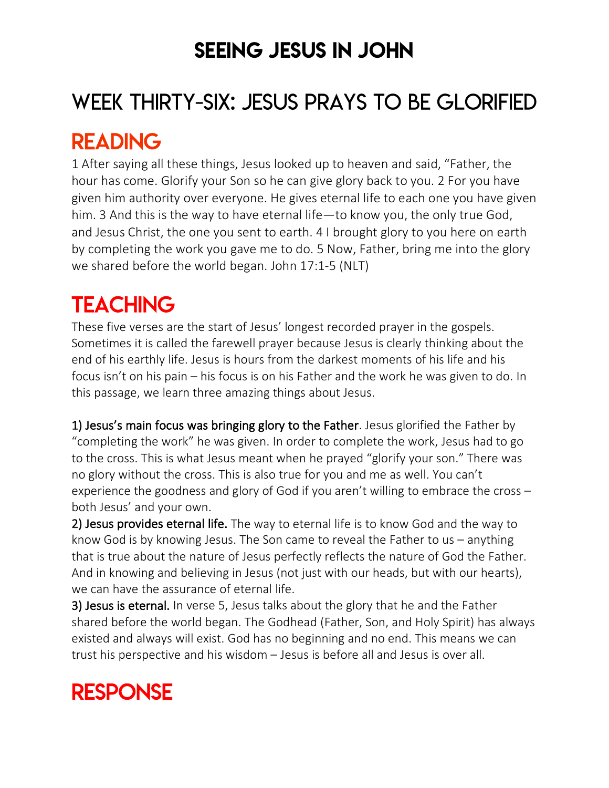### SEEING JESUS IN JOHN

# WEEK THIRTY-SIX: JESUS PRAYS TO BE GLORIFIED

### READING

1 After saying all these things, Jesus looked up to heaven and said, "Father, the hour has come. Glorify your Son so he can give glory back to you. 2 For you have given him authority over everyone. He gives eternal life to each one you have given him. 3 And this is the way to have eternal life—to know you, the only true God, and Jesus Christ, the one you sent to earth. 4 I brought glory to you here on earth by completing the work you gave me to do. 5 Now, Father, bring me into the glory we shared before the world began. John 17:1-5 (NLT)

# **TEACHING**

These five verses are the start of Jesus' longest recorded prayer in the gospels. Sometimes it is called the farewell prayer because Jesus is clearly thinking about the end of his earthly life. Jesus is hours from the darkest moments of his life and his focus isn't on his pain – his focus is on his Father and the work he was given to do. In this passage, we learn three amazing things about Jesus.

1) Jesus's main focus was bringing glory to the Father. Jesus glorified the Father by "completing the work" he was given. In order to complete the work, Jesus had to go to the cross. This is what Jesus meant when he prayed "glorify your son." There was no glory without the cross. This is also true for you and me as well. You can't experience the goodness and glory of God if you aren't willing to embrace the cross – both Jesus' and your own.

2) Jesus provides eternal life. The way to eternal life is to know God and the way to know God is by knowing Jesus. The Son came to reveal the Father to us – anything that is true about the nature of Jesus perfectly reflects the nature of God the Father. And in knowing and believing in Jesus (not just with our heads, but with our hearts), we can have the assurance of eternal life.

3) Jesus is eternal. In verse 5, Jesus talks about the glory that he and the Father shared before the world began. The Godhead (Father, Son, and Holy Spirit) has always existed and always will exist. God has no beginning and no end. This means we can trust his perspective and his wisdom – Jesus is before all and Jesus is over all.

### RESPONSE